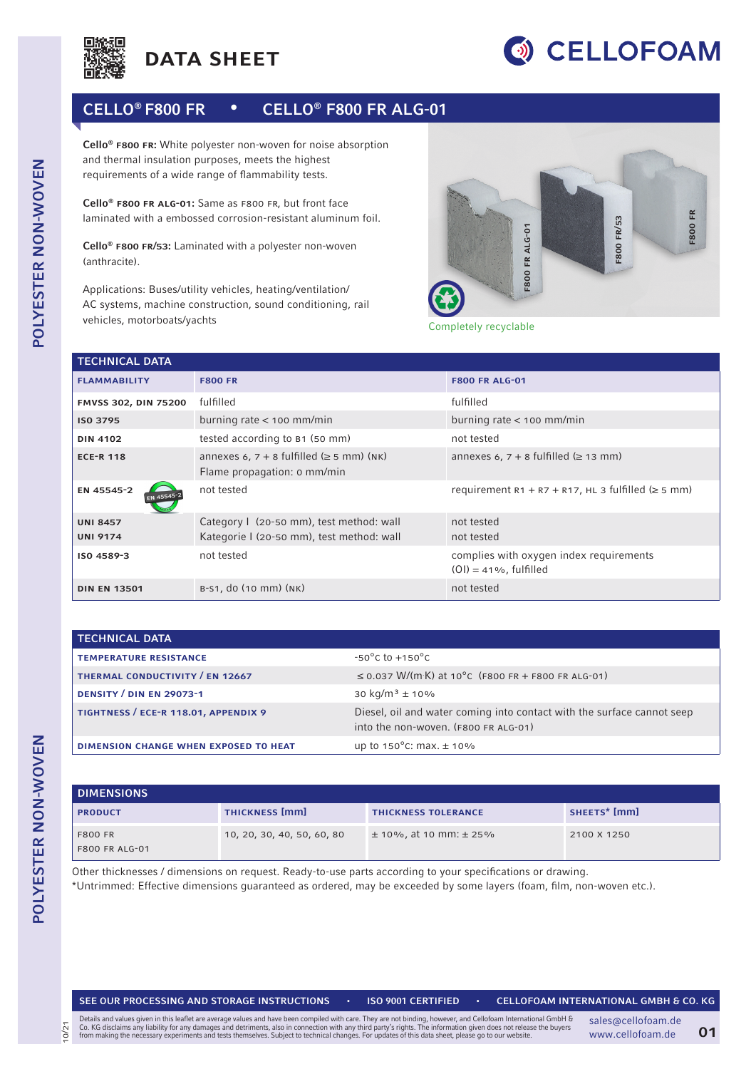



## CELLO® F800 FR • CELLO® F800 FR ALG-01

Cello<sup>®</sup> F800 FR: White polyester non-woven for noise absorption and thermal insulation purposes, meets the highest requirements of a wide range of flammability tests.

Cello® f800 fr alg-01: Same as f800 fr, but front face laminated with a embossed corrosion-resistant aluminum foil.

Cello® f800 fr/53: Laminated with a polyester non-woven (anthracite).

Applications: Buses/utility vehicles, heating/ventilation/ AC systems, machine construction, sound conditioning, rail vehicles, motorboats/yachts



Completely recyclable

| <b>TECHNICAL DATA</b>  |                                                                                 |                                                                      |  |  |  |
|------------------------|---------------------------------------------------------------------------------|----------------------------------------------------------------------|--|--|--|
| <b>FLAMMABILITY</b>    | <b>F800 FR</b>                                                                  | <b>F800 FR ALG-01</b>                                                |  |  |  |
| FMVSS 302, DIN 75200   | fulfilled                                                                       | fulfilled                                                            |  |  |  |
| ISO 3795               | burning rate $<$ 100 mm/min                                                     | burning rate $<$ 100 mm/min                                          |  |  |  |
| <b>DIN 4102</b>        | tested according to B1 (50 mm)                                                  | not tested                                                           |  |  |  |
| <b>ECE-R 118</b>       | annexes 6, $7 + 8$ fulfilled ( $\geq 5$ mm) (NK)<br>Flame propagation: 0 mm/min | annexes 6, $7 + 8$ fulfilled ( $\geq 13$ mm)                         |  |  |  |
| EN 45545-2<br>EN 45545 | not tested                                                                      | requirement $R1 + R7 + R17$ , HL 3 fulfilled ( $\geq$ 5 mm)          |  |  |  |
| <b>UNI 8457</b>        | Category I (20-50 mm), test method: wall                                        | not tested                                                           |  |  |  |
| <b>UNI 9174</b>        | Kategorie I (20-50 mm), test method: wall                                       | not tested                                                           |  |  |  |
| ISO 4589-3             | not tested                                                                      | complies with oxygen index requirements<br>$(OI) = 41\%$ , fulfilled |  |  |  |
| <b>DIN EN 13501</b>    | B-S1, do (10 mm) (NK)                                                           | not tested                                                           |  |  |  |

| <b>TECHNICAL DATA</b>                 |                                                                                                                |
|---------------------------------------|----------------------------------------------------------------------------------------------------------------|
| <b>TEMPERATURE RESISTANCE</b>         | $-50^{\circ}$ C to $+150^{\circ}$ C                                                                            |
| THERMAL CONDUCTIVITY / EN 12667       | $\leq$ 0.037 W/(m K) at 10°C (F800 FR + F800 FR ALG-01)                                                        |
| <b>DENSITY / DIN EN 29073-1</b>       | 30 kg/m <sup>3</sup> $\pm$ 10%                                                                                 |
| TIGHTNESS / ECE-R 118.01, APPENDIX 9  | Diesel, oil and water coming into contact with the surface cannot seep<br>into the non-woven. (F800 FR ALG-01) |
| DIMENSION CHANGE WHEN EXPOSED TO HEAT | up to $150^{\circ}$ C: max. $\pm 10\%$                                                                         |

| <b>DIMENSIONS</b>                       |                            |                                |                          |  |
|-----------------------------------------|----------------------------|--------------------------------|--------------------------|--|
| <b>PRODUCT</b>                          | <b>THICKNESS [mm]</b>      | <b>THICKNESS TOLERANCE</b>     | SHEETS <sup>*</sup> [mm] |  |
| <b>F800 FR</b><br><b>F800 FR ALG-01</b> | 10, 20, 30, 40, 50, 60, 80 | $\pm$ 10%, at 10 mm: $\pm$ 25% | 2100 X 1250              |  |

Other thicknesses / dimensions on request. Ready-to-use parts according to your specifications or drawing. \*Untrimmed: Effective dimensions guaranteed as ordered, may be exceeded by some layers (foam, film, non-woven etc.).

10/21